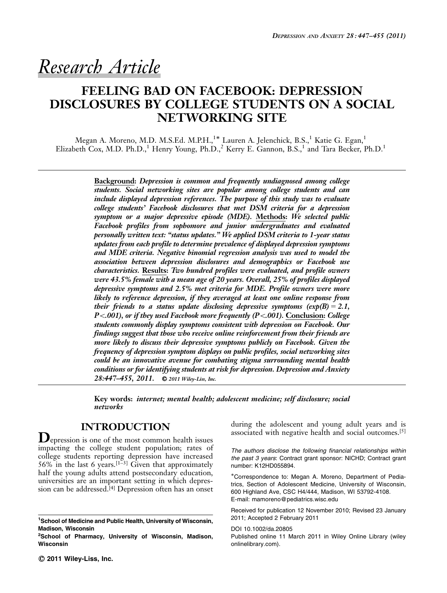Research Article

# FEELING BAD ON FACEBOOK: DEPRESSION DISCLOSURES BY COLLEGE STUDENTS ON A SOCIAL NETWORKING SITE

Megan A. Moreno, M.D. M.S.Ed. M.P.H.,<sup>1\*</sup> Lauren A. Jelenchick, B.S.,<sup>1</sup> Katie G. Egan,<sup>1</sup> Elizabeth Cox, M.D. Ph.D.,<sup>1</sup> Henry Young, Ph.D.,<sup>2</sup> Kerry E. Gannon, B.S.,<sup>1</sup> and Tara Becker, Ph.D.<sup>1</sup>

> Background: Depression is common and frequently undiagnosed among college students. Social networking sites are popular among college students and can include displayed depression references. The purpose of this study was to evaluate college students' Facebook disclosures that met DSM criteria for a depression symptom or a major depressive episode (MDE). Methods: We selected public Facebook profiles from sophomore and junior undergraduates and evaluated personally written text: ''status updates.'' We applied DSM criteria to 1-year status updates from each profile to determine prevalence of displayed depression symptoms and MDE criteria. Negative binomial regression analysis was used to model the association between depression disclosures and demographics or Facebook use characteristics. Results: Two hundred profiles were evaluated, and profile owners were 43.5% female with a mean age of 20 years. Overall, 25% of profiles displayed depressive symptoms and 2.5% met criteria for MDE. Profile owners were more likely to reference depression, if they averaged at least one online response from their friends to a status update disclosing depressive symptoms  $(exp(B) = 2.1,$  $P<.001$ , or if they used Facebook more frequently ( $P<.001$ ). Conclusion: College students commonly display symptoms consistent with depression on Facebook. Our findings suggest that those who receive online reinforcement from their friends are more likely to discuss their depressive symptoms publicly on Facebook. Given the frequency of depression symptom displays on public profiles, social networking sites could be an innovative avenue for combating stigma surrounding mental health conditions or for identifying students at risk for depression. Depression and Anxiety 28:447-455, 2011. © 2011 Wiley-Liss, Inc.

> Key words: internet; mental health; adolescent medicine; self disclosure; social networks

# INTRODUCTION

Depression is one of the most common health issues impacting the college student population; rates of college students reporting depression have increased  $56\%$  in the last 6 years.<sup>[1–3]</sup> Given that approximately half the young adults attend postsecondary education, universities are an important setting in which depression can be addressed.<sup>[4]</sup> Depression often has an onset during the adolescent and young adult years and is associated with negative health and social outcomes.[5]

The authors disclose the following financial relationships within the past 3 years: Contract grant sponsor: NICHD; Contract grant number: K12HD055894.

-Correspondence to: Megan A. Moreno, Department of Pediatrics, Section of Adolescent Medicine, University of Wisconsin, 600 Highland Ave, CSC H4/444, Madison, WI 53792-4108. E-mail: mamoreno@pediatrics.wisc.edu

Received for publication 12 November 2010; Revised 23 January 2011; Accepted 2 February 2011

DOI 10.1002/da.20805

Published online 11 March 2011 in Wiley Online Library (wiley onlinelibrary.com).

<sup>&</sup>lt;sup>1</sup>School of Medicine and Public Health, University of Wisconsin, Madison, Wisconsin

<sup>&</sup>lt;sup>2</sup>School of Pharmacy, University of Wisconsin, Madison, Wisconsin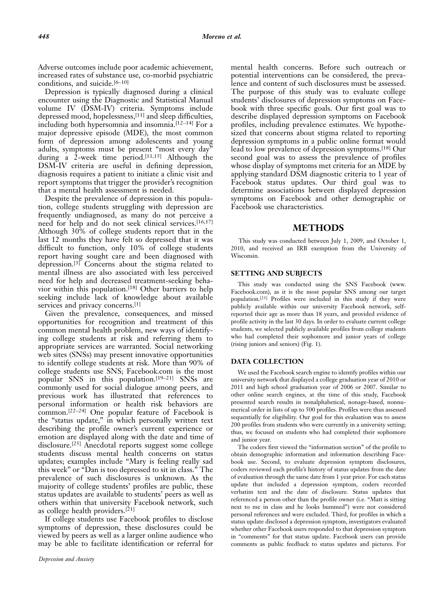Adverse outcomes include poor academic achievement, increased rates of substance use, co-morbid psychiatric conditions, and suicide.<sup>[6-10]</sup>

Depression is typically diagnosed during a clinical encounter using the Diagnostic and Statistical Manual volume IV (DSM-IV) criteria. Symptoms include depressed mood, hopelessness,[11] and sleep difficulties, including both hypersomnia and insomnia.[12–14] For a major depressive episode (MDE), the most common form of depression among adolescents and young adults, symptoms must be present ''most every day'' during a 2-week time period.[11,15] Although the DSM-IV criteria are useful in defining depression, diagnosis requires a patient to initiate a clinic visit and report symptoms that trigger the provider's recognition that a mental health assessment is needed.

Despite the prevalence of depression in this population, college students struggling with depression are frequently undiagnosed, as many do not perceive a need for help and do not seek clinical services.[16,17] Although 30% of college students report that in the last 12 months they have felt so depressed that it was difficult to function, only 10% of college students report having sought care and been diagnosed with depression.[3] Concerns about the stigma related to mental illness are also associated with less perceived need for help and decreased treatment-seeking behavior within this population.<sup>[18]</sup> Other barriers to help seeking include lack of knowledge about available services and privacy concerns.<sup>[1]</sup>

Given the prevalence, consequences, and missed opportunities for recognition and treatment of this common mental health problem, new ways of identifying college students at risk and referring them to appropriate services are warranted. Social networking web sites (SNSs) may present innovative opportunities to identify college students at risk. More than 90% of college students use SNS; Facebook.com is the most popular SNS in this population.[19–21] SNSs are commonly used for social dialogue among peers, and previous work has illustrated that references to personal information or health risk behaviors are common.[22–24] One popular feature of Facebook is the "status update," in which personally written text describing the profile owner's current experience or emotion are displayed along with the date and time of disclosure.[25] Anecdotal reports suggest some college students discuss mental health concerns on status updates; examples include ''Mary is feeling really sad this week'' or ''Dan is too depressed to sit in class.'' The prevalence of such disclosures is unknown. As the majority of college students' profiles are public, these status updates are available to students' peers as well as others within that university Facebook network, such as college health providers.<sup>[21]</sup>

If college students use Facebook profiles to disclose symptoms of depression, these disclosures could be viewed by peers as well as a larger online audience who may be able to facilitate identification or referral for mental health concerns. Before such outreach or potential interventions can be considered, the prevalence and content of such disclosures must be assessed. The purpose of this study was to evaluate college students' disclosures of depression symptoms on Facebook with three specific goals. Our first goal was to describe displayed depression symptoms on Facebook profiles, including prevalence estimates. We hypothesized that concerns about stigma related to reporting depression symptoms in a public online format would lead to low prevalence of depression symptoms.[18] Our second goal was to assess the prevalence of profiles whose display of symptoms met criteria for an MDE by applying standard DSM diagnostic criteria to 1 year of Facebook status updates. Our third goal was to determine associations between displayed depression symptoms on Facebook and other demographic or Facebook use characteristics.

#### METHODS

This study was conducted between July 1, 2009, and October 1, 2010, and received an IRB exemption from the University of Wisconsin.

#### SETTING AND SUBJECTS

This study was conducted using the SNS Facebook (www. Facebook.com), as it is the most popular SNS among our target population.[25] Profiles were included in this study if they were publicly available within our university Facebook network, selfreported their age as more than 18 years, and provided evidence of profile activity in the last 30 days. In order to evaluate current college students, we selected publicly available profiles from college students who had completed their sophomore and junior years of college (rising juniors and seniors) (Fig. 1).

#### DATA COLLECTION

We used the Facebook search engine to identify profiles within our university network that displayed a college graduation year of 2010 or 2011 and high school graduation year of 2006 or 2007. Similar to other online search engines, at the time of this study, Facebook presented search results in nonalphabetical, nonage-based, nonnumerical order in lists of up to 500 profiles. Profiles were thus assessed sequentially for eligibility. Our goal for this evaluation was to assess 200 profiles from students who were currently in a university setting; thus, we focused on students who had completed their sophomore and junior year.

The coders first viewed the ''information section'' of the profile to obtain demographic information and information describing Facebook use. Second, to evaluate depression symptom disclosures, coders reviewed each profile's history of status updates from the date of evaluation through the same date from 1 year prior. For each status update that included a depression symptom, coders recorded verbatim text and the date of disclosure. Status updates that referenced a person other than the profile owner (i.e. ''Matt is sitting next to me in class and he looks bummed'') were not considered personal references and were excluded. Third, for profiles in which a status update disclosed a depression symptom, investigators evaluated whether other Facebook users responded to that depression symptom in ''comments'' for that status update. Facebook users can provide comments as public feedback to status updates and pictures. For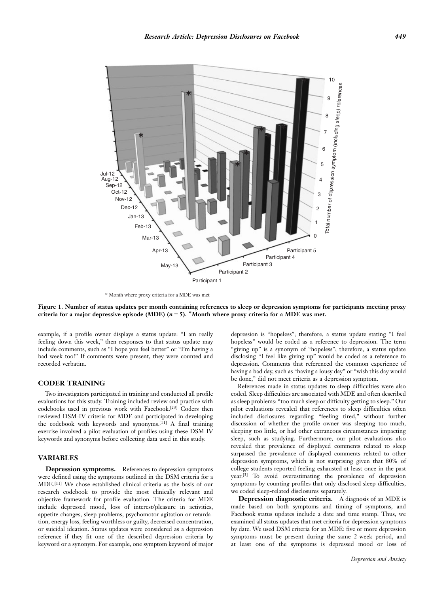

\* Month where proxy criteria for a MDE was met

Figure 1. Number of status updates per month containing references to sleep or depression symptoms for participants meeting proxy criteria for a major depressive episode (MDE) (<sup>n</sup> <sup>5</sup> 5). -Month where proxy criteria for a MDE was met.

example, if a profile owner displays a status update: "I am really feeling down this week," then responses to that status update may include comments, such as "I hope you feel better" or "I'm having a bad week too!'' If comments were present, they were counted and recorded verbatim.

#### CODER TRAINING

Two investigators participated in training and conducted all profile evaluations for this study. Training included review and practice with codebooks used in previous work with Facebook.[23] Coders then reviewed DSM-IV criteria for MDE and participated in developing the codebook with keywords and synonyms.<sup>[11]</sup> A final training exercise involved a pilot evaluation of profiles using these DSM-IV keywords and synonyms before collecting data used in this study.

#### VARIABLES

Depression symptoms. References to depression symptoms were defined using the symptoms outlined in the DSM criteria for a MDE.[11] We chose established clinical criteria as the basis of our research codebook to provide the most clinically relevant and objective framework for profile evaluation. The criteria for MDE include depressed mood, loss of interest/pleasure in activities, appetite changes, sleep problems, psychomotor agitation or retardation, energy loss, feeling worthless or guilty, decreased concentration, or suicidal ideation. Status updates were considered as a depression reference if they fit one of the described depression criteria by keyword or a synonym. For example, one symptom keyword of major

depression is ''hopeless''; therefore, a status update stating ''I feel hopeless'' would be coded as a reference to depression. The term "giving up" is a synonym of "hopeless"; therefore, a status update disclosing ''I feel like giving up'' would be coded as a reference to depression. Comments that referenced the common experience of having a bad day, such as ''having a lousy day'' or ''wish this day would be done,'' did not meet criteria as a depression symptom.

References made in status updates to sleep difficulties were also coded. Sleep difficulties are associated with MDE and often described as sleep problems: ''too much sleep or difficulty getting to sleep.'' Our pilot evaluations revealed that references to sleep difficulties often included disclosures regarding ''feeling tired,'' without further discussion of whether the profile owner was sleeping too much, sleeping too little, or had other extraneous circumstances impacting sleep, such as studying. Furthermore, our pilot evaluations also revealed that prevalence of displayed comments related to sleep surpassed the prevalence of displayed comments related to other depression symptoms, which is not surprising given that 80% of college students reported feeling exhausted at least once in the past year.[3] To avoid overestimating the prevalence of depression symptoms by counting profiles that only disclosed sleep difficulties, we coded sleep-related disclosures separately.

Depression diagnostic criteria. A diagnosis of an MDE is made based on both symptoms and timing of symptoms, and Facebook status updates include a date and time stamp. Thus, we examined all status updates that met criteria for depression symptoms by date. We used DSM criteria for an MDE: five or more depression symptoms must be present during the same 2-week period, and at least one of the symptoms is depressed mood or loss of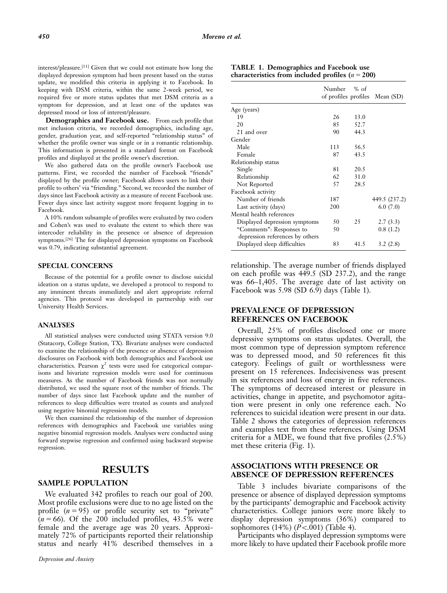interest/pleasure.[11] Given that we could not estimate how long the displayed depression symptom had been present based on the status update, we modified this criteria in applying it to Facebook. In keeping with DSM criteria, within the same 2-week period, we required five or more status updates that met DSM criteria as a symptom for depression, and at least one of the updates was depressed mood or loss of interest/pleasure.

Demographics and Facebook use. From each profile that met inclusion criteria, we recorded demographics, including age, gender, graduation year, and self-reported ''relationship status'' of whether the profile owner was single or in a romantic relationship. This information is presented in a standard format on Facebook profiles and displayed at the profile owner's discretion.

We also gathered data on the profile owner's Facebook use patterns. First, we recorded the number of Facebook ''friends'' displayed by the profile owner; Facebook allows users to link their profile to others' via "friending." Second, we recorded the number of days since last Facebook activity as a measure of recent Facebook use. Fewer days since last activity suggest more frequent logging in to Facebook.

A 10% random subsample of profiles were evaluated by two coders and Cohen's was used to evaluate the extent to which there was intercoder reliability in the presence or absence of depression symptoms.[26] The for displayed depression symptoms on Facebook was 0.79, indicating substantial agreement.

#### SPECIAL CONCERNS

Because of the potential for a profile owner to disclose suicidal ideation on a status update, we developed a protocol to respond to any imminent threats immediately and alert appropriate referral agencies. This protocol was developed in partnership with our University Health Services.

#### ANALYSES

All statistical analyses were conducted using STATA version 9.0 (Statacorp, College Station, TX). Bivariate analyses were conducted to examine the relationship of the presence or absence of depression disclosures on Facebook with both demographics and Facebook use characteristics. Pearson  $\gamma^2$  tests were used for categorical comparisons and bivariate regression models were used for continuous measures. As the number of Facebook friends was not normally distributed, we used the square root of the number of friends. The number of days since last Facebook update and the number of references to sleep difficulties were treated as counts and analyzed using negative binomial regression models.

We then examined the relationship of the number of depression references with demographics and Facebook use variables using negative binomial regression models. Analyses were conducted using forward stepwise regression and confirmed using backward stepwise regression.

# RESULTS

### SAMPLE POPULATION

We evaluated 342 profiles to reach our goal of 200. Most profile exclusions were due to no age listed on the profile  $(n = 95)$  or profile security set to "private"  $(n = 66)$ . Of the 200 included profiles, 43.5% were female and the average age was 20 years. Approximately 72% of participants reported their relationship status and nearly 41% described themselves in a

|                                 | Number % of |      | of profiles profiles Mean (SD) |
|---------------------------------|-------------|------|--------------------------------|
| Age (years)                     |             |      |                                |
| 19                              | 26          | 13.0 |                                |
| 20                              | 85          | 52.7 |                                |
| 21 and over                     | 90          | 44.3 |                                |
| Gender                          |             |      |                                |
| Male                            | 113         | 56.5 |                                |
| Female                          | 87          | 43.5 |                                |
| Relationship status             |             |      |                                |
| Single                          | 81          | 20.5 |                                |
| Relationship                    | 62          | 31.0 |                                |
| Not Reported                    | 57          | 28.5 |                                |
| Facebook activity               |             |      |                                |
| Number of friends               | 187         |      | 449.5 (237.2)                  |
| Last activity (days)            | 200         |      | 6.0(7.0)                       |
| Mental health references        |             |      |                                |
| Displayed depression symptoms   | 50          | 25   | 2.7(3.3)                       |
| "Comments": Responses to        | 50          |      | 0.8(1.2)                       |
| depression references by others |             |      |                                |
| Displayed sleep difficulties    | 83          | 41.5 | 3.2(2.8)                       |

TABLE 1. Demographics and Facebook use characteristics from included profiles  $(n = 200)$ 

relationship. The average number of friends displayed on each profile was 449.5 (SD 237.2), and the range was 66–1,405. The average date of last activity on Facebook was 5.98 (SD 6.9) days (Table 1).

### PREVALENCE OF DEPRESSION REFERENCES ON FACEBOOK

Overall, 25% of profiles disclosed one or more depressive symptoms on status updates. Overall, the most common type of depression symptom reference was to depressed mood, and 50 references fit this category. Feelings of guilt or worthlessness were present on 15 references. Indecisiveness was present in six references and loss of energy in five references. The symptoms of decreased interest or pleasure in activities, change in appetite, and psychomotor agitation were present in only one reference each. No references to suicidal ideation were present in our data. Table 2 shows the categories of depression references and examples text from these references. Using DSM criteria for a MDE, we found that five profiles (2.5%) met these criteria (Fig. 1).

# ASSOCIATIONS WITH PRESENCE OR ABSENCE OF DEPRESSION REFERENCES

Table 3 includes bivariate comparisons of the presence or absence of displayed depression symptoms by the participants' demographic and Facebook activity characteristics. College juniors were more likely to display depression symptoms (36%) compared to sophomores (14%)  $(P<.001)$  (Table 4).

Participants who displayed depression symptoms were more likely to have updated their Facebook profile more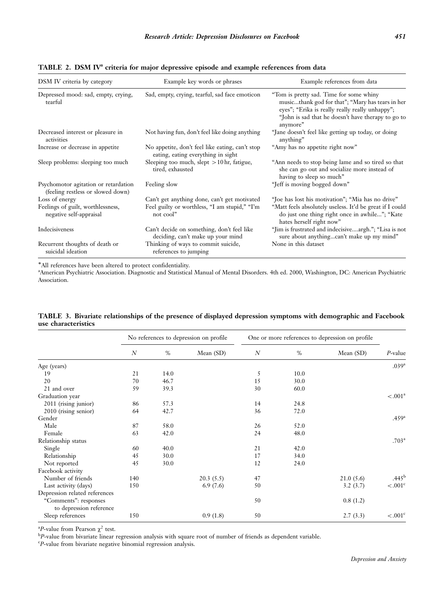| DSM IV criteria by category                                               | Example key words or phrases<br>Example references from data                          |                                                                                                                                                                                                                  |
|---------------------------------------------------------------------------|---------------------------------------------------------------------------------------|------------------------------------------------------------------------------------------------------------------------------------------------------------------------------------------------------------------|
| Depressed mood: sad, empty, crying,<br>tearful                            | Sad, empty, crying, tearful, sad face emoticon                                        | "Tom is pretty sad. Time for some whiny<br>musicthank god for that"; "Mary has tears in her<br>eyes"; "Erika is really really really unhappy";<br>"John is sad that he doesn't have therapy to go to<br>anymore" |
| Decreased interest or pleasure in<br>activities                           | Not having fun, don't feel like doing anything                                        | "Jane doesn't feel like getting up today, or doing<br>anything"                                                                                                                                                  |
| Increase or decrease in appetite                                          | No appetite, don't feel like eating, can't stop<br>eating, eating everything in sight | "Amy has no appetite right now"                                                                                                                                                                                  |
| Sleep problems: sleeping too much                                         | Sleeping too much, slept $>10$ hr, fatigue,<br>tired, exhausted                       | "Ann needs to stop being lame and so tired so that<br>she can go out and socialize more instead of<br>having to sleep so much"                                                                                   |
| Psychomotor agitation or retardation<br>(feeling restless or slowed down) | Feeling slow                                                                          | "Jeff is moving bogged down"                                                                                                                                                                                     |
| Loss of energy                                                            | Can't get anything done, can't get motivated                                          | "Joe has lost his motivation"; "Mia has no drive"                                                                                                                                                                |
| Feelings of guilt, worthlessness,<br>negative self-appraisal              | Feel guilty or worthless, "I am stupid," "I'm<br>not cool"                            | "Matt feels absolutely useless. It'd be great if I could<br>do just one thing right once in awhile"; "Kate<br>hates herself right now"                                                                           |
| Indecisiveness                                                            | Can't decide on something, don't feel like<br>deciding, can't make up your mind       | "Jim is frustrated and indecisiveargh."; "Lisa is not<br>sure about anythingcan't make up my mind"                                                                                                               |
| Recurrent thoughts of death or<br>suicidal ideation                       | Thinking of ways to commit suicide,<br>references to jumping                          | None in this dataset                                                                                                                                                                                             |

TABLE 2. DSM IV<sup>a</sup> criteria for major depressive episode and example references from data

-All references have been altered to protect confidentiality.

a American Psychiatric Association. Diagnostic and Statistical Manual of Mental Disorders. 4th ed. 2000, Washington, DC: American Psychiatric Association.

|                               | No references to depression on profile |      |           |    | One or more references to depression on profile |           |                       |
|-------------------------------|----------------------------------------|------|-----------|----|-------------------------------------------------|-----------|-----------------------|
|                               | $\boldsymbol{N}$                       | %    | Mean (SD) | N  | %                                               | Mean (SD) | $P$ -value            |
| Age (years)                   |                                        |      |           |    |                                                 |           | .039 <sup>a</sup>     |
| 19                            | 21                                     | 14.0 |           | 5  | 10.0                                            |           |                       |
| 20                            | 70                                     | 46.7 |           | 15 | 30.0                                            |           |                       |
| 21 and over                   | 59                                     | 39.3 |           | 30 | 60.0                                            |           |                       |
| Graduation year               |                                        |      |           |    |                                                 |           | < .001 <sup>a</sup>   |
| 2011 (rising junior)          | 86                                     | 57.3 |           | 14 | 24.8                                            |           |                       |
| 2010 (rising senior)          | 64                                     | 42.7 |           | 36 | 72.0                                            |           |                       |
| Gender                        |                                        |      |           |    |                                                 |           | .459 <sup>a</sup>     |
| Male                          | 87                                     | 58.0 |           | 26 | 52.0                                            |           |                       |
| Female                        | 63                                     | 42.0 |           | 24 | 48.0                                            |           |                       |
| Relationship status           |                                        |      |           |    |                                                 |           | .703 <sup>a</sup>     |
| Single                        | 60                                     | 40.0 |           | 21 | 42.0                                            |           |                       |
| Relationship                  | 45                                     | 30.0 |           | 17 | 34.0                                            |           |                       |
| Not reported                  | 45                                     | 30.0 |           | 12 | 24.0                                            |           |                       |
| Facebook activity             |                                        |      |           |    |                                                 |           |                       |
| Number of friends             | 140                                    |      | 20.3(5.5) | 47 |                                                 | 21.0(5.6) | .445 <sup>b</sup>     |
| Last activity (days)          | 150                                    |      | 6.9(7.6)  | 50 |                                                 | 3.2(3.7)  | $< 0.01$ <sup>c</sup> |
| Depression related references |                                        |      |           |    |                                                 |           |                       |
| "Comments": responses         |                                        |      |           | 50 |                                                 | 0.8(1.2)  |                       |
| to depression reference       |                                        |      |           |    |                                                 |           |                       |
| Sleep references              | 150                                    |      | 0.9(1.8)  | 50 |                                                 | 2.7(3.3)  | $< 0.01$ <sup>c</sup> |

TABLE 3. Bivariate relationships of the presence of displayed depression symptoms with demographic and Facebook use characteristics

<sup>a</sup>P-value from Pearson  $\chi^2$  test.<br><sup>b</sup>P value from bivariate linear.

 ${}^{b}P$ -value from bivariate linear regression analysis with square root of number of friends as dependent variable.

P-value from bivariate negative binomial regression analysis.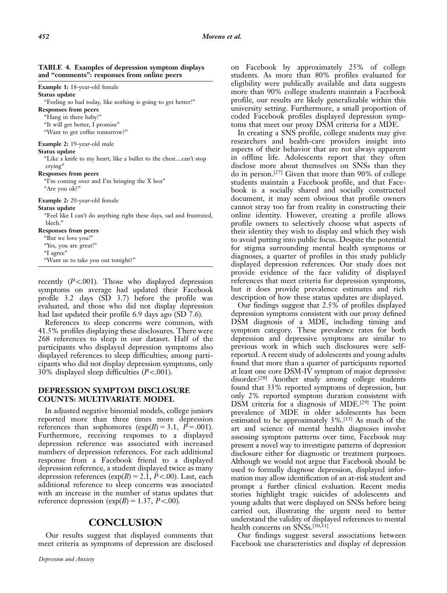TABLE 4. Examples of depression symptom displays and ''comments'': responses from online peers

| <b>Example 1:</b> 18-year-old female                                       |
|----------------------------------------------------------------------------|
| Status update                                                              |
| "Feeling so bad today, like nothing is going to get better!"               |
| <b>Responses from peers</b>                                                |
| "Hang in there baby!"                                                      |
| "It will get better, I promise"                                            |
| "Want to get coffee tomorrow?"                                             |
| <b>Example 2:</b> 19-year-old male                                         |
| Status update                                                              |
| "Like a knife to my heart, like a bullet to the chestcan't stop<br>crying" |
| Responses from peers                                                       |
| "I'm coming over and I'm bringing the X box"                               |
| "Are you ok?"                                                              |
| <b>Example 2:</b> 20-year-old female                                       |
| Status update                                                              |
| "Feel like I can't do anything right these days, sad and frustrated,       |
| hlech."                                                                    |
| Responses from peers                                                       |
| "But we love you!"                                                         |
| "Yes, you are great!"                                                      |
| "I agree"                                                                  |
| "Want us to take you out tonight?"                                         |

recently  $(P<.001)$ . Those who displayed depression symptoms on average had updated their Facebook profile 3.2 days (SD 3.7) before the profile was evaluated, and those who did not display depression had last updated their profile 6.9 days ago (SD 7.6).

References to sleep concerns were common, with 41.5% profiles displaying these disclosures. There were 268 references to sleep in our dataset. Half of the participants who displayed depression symptoms also displayed references to sleep difficulties; among participants who did not display depression symptoms, only 30% displayed sleep difficulties  $(P < 0.001)$ .

# DEPRESSION SYMPTOM DISCLOSURE COUNTS: MULTIVARIATE MODEL

In adjusted negative binomial models, college juniors reported more than three times more depression references than sophomores ( $exp(B) = 3.1$ ,  $\overline{P} = .001$ ). Furthermore, receiving responses to a displayed depression reference was associated with increased numbers of depression references. For each additional response from a Facebook friend to a displayed depression reference, a student displayed twice as many depression references ( $exp(B) = 2.1$ ,  $P < .00$ ). Last, each additional reference to sleep concerns was associated with an increase in the number of status updates that reference depression ( $exp(B) = 1.37$ ,  $P < .00$ ).

# **CONCLUSION**

Our results suggest that displayed comments that meet criteria as symptoms of depression are disclosed on Facebook by approximately 25% of college students. As more than 80% profiles evaluated for eligibility were publically available and data suggests more than 90% college students maintain a Facebook profile, our results are likely generalizable within this university setting. Furthermore, a small proportion of coded Facebook profiles displayed depression symptoms that meet our proxy DSM criteria for a MDE.

In creating a SNS profile, college students may give researchers and health-care providers insight into aspects of their behavior that are not always apparent in offline life. Adolescents report that they often disclose more about themselves on SNSs than they do in person.[27] Given that more than 90% of college students maintain a Facebook profile, and that Facebook is a socially shared and socially constructed document, it may seem obvious that profile owners cannot stray too far from reality in constructing their online identity. However, creating a profile allows profile owners to selectively choose what aspects of their identity they wish to display and which they wish to avoid putting into public focus. Despite the potential for stigma surrounding mental health symptoms or diagnoses, a quarter of profiles in this study publicly displayed depression references. Our study does not provide evidence of the face validity of displayed references that meet criteria for depression symptoms, but it does provide prevalence estimates and rich description of how these status updates are displayed.

Our findings suggest that 2.5% of profiles displayed depression symptoms consistent with our proxy defined DSM diagnosis of a MDE, including timing and symptom category. These prevalence rates for both depression and depressive symptoms are similar to previous work in which such disclosures were selfreported. A recent study of adolescents and young adults found that more than a quarter of participants reported at least one core DSM-IV symptom of major depressive disorder.[28] Another study among college students found that 33% reported symptoms of depression, but only 2% reported symptom duration consistent with DSM criteria for a diagnosis of MDE.[29] The point prevalence of MDE in older adolescents has been estimated to be approximately 3%.[15] As much of the art and science of mental health diagnoses involve assessing symptom patterns over time, Facebook may present a novel way to investigate patterns of depression disclosure either for diagnostic or treatment purposes. Although we would not argue that Facebook should be used to formally diagnose depression, displayed information may allow identification of an at-risk student and prompt a further clinical evaluation. Recent media stories highlight tragic suicides of adolescents and young adults that were displayed on SNSs before being carried out, illustrating the urgent need to better understand the validity of displayed references to mental health concerns on SNSs.[30,31]

Our findings suggest several associations between Facebook use characteristics and display of depression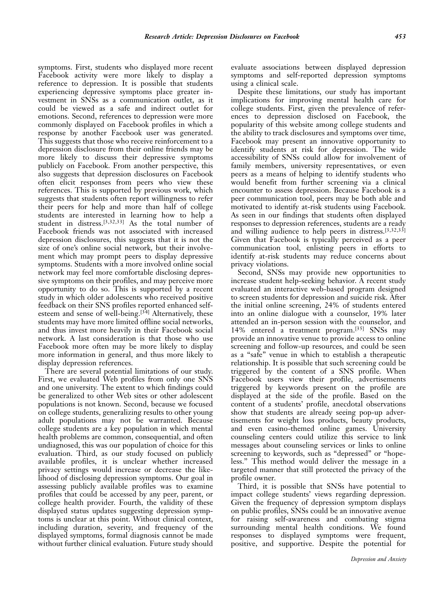symptoms. First, students who displayed more recent Facebook activity were more likely to display a reference to depression. It is possible that students experiencing depressive symptoms place greater investment in SNSs as a communication outlet, as it could be viewed as a safe and indirect outlet for emotions. Second, references to depression were more commonly displayed on Facebook profiles in which a response by another Facebook user was generated. This suggests that those who receive reinforcement to a depression disclosure from their online friends may be more likely to discuss their depressive symptoms publicly on Facebook. From another perspective, this also suggests that depression disclosures on Facebook often elicit responses from peers who view these references. This is supported by previous work, which suggests that students often report willingness to refer their peers for help and more than half of college students are interested in learning how to help a student in distress.[3,32,33] As the total number of Facebook friends was not associated with increased depression disclosures, this suggests that it is not the size of one's online social network, but their involvement which may prompt peers to display depressive symptoms. Students with a more involved online social network may feel more comfortable disclosing depressive symptoms on their profiles, and may perceive more opportunity to do so. This is supported by a recent study in which older adolescents who received positive feedback on their SNS profiles reported enhanced selfesteem and sense of well-being.<sup>[34]</sup> Alternatively, these students may have more limited offline social networks, and thus invest more heavily in their Facebook social network. A last consideration is that those who use Facebook more often may be more likely to display more information in general, and thus more likely to display depression references.

There are several potential limitations of our study. First, we evaluated Web profiles from only one SNS and one university. The extent to which findings could be generalized to other Web sites or other adolescent populations is not known. Second, because we focused on college students, generalizing results to other young adult populations may not be warranted. Because college students are a key population in which mental health problems are common, consequential, and often undiagnosed, this was our population of choice for this evaluation. Third, as our study focused on publicly available profiles, it is unclear whether increased privacy settings would increase or decrease the likelihood of disclosing depression symptoms. Our goal in assessing publicly available profiles was to examine profiles that could be accessed by any peer, parent, or college health provider. Fourth, the validity of these displayed status updates suggesting depression symptoms is unclear at this point. Without clinical context, including duration, severity, and frequency of the displayed symptoms, formal diagnosis cannot be made without further clinical evaluation. Future study should evaluate associations between displayed depression symptoms and self-reported depression symptoms using a clinical scale.

Despite these limitations, our study has important implications for improving mental health care for college students. First, given the prevalence of references to depression disclosed on Facebook, the popularity of this website among college students and the ability to track disclosures and symptoms over time, Facebook may present an innovative opportunity to identify students at risk for depression. The wide accessibility of SNSs could allow for involvement of family members, university representatives, or even peers as a means of helping to identify students who would benefit from further screening via a clinical encounter to assess depression. Because Facebook is a peer communication tool, peers may be both able and motivated to identify at-risk students using Facebook. As seen in our findings that students often displayed responses to depression references, students are a ready and willing audience to help peers in distress.<sup>[3,32,33]</sup> Given that Facebook is typically perceived as a peer communication tool, enlisting peers in efforts to identify at-risk students may reduce concerns about privacy violations.

Second, SNSs may provide new opportunities to increase student help-seeking behavior. A recent study evaluated an interactive web-based program designed to screen students for depression and suicide risk. After the initial online screening, 24% of students entered into an online dialogue with a counselor, 19% later attended an in-person session with the counselor, and 14% entered a treatment program.[35] SNSs may provide an innovative venue to provide access to online screening and follow-up resources, and could be seen as a ''safe'' venue in which to establish a therapeutic relationship. It is possible that such screening could be triggered by the content of a SNS profile. When Facebook users view their profile, advertisements triggered by keywords present on the profile are displayed at the side of the profile. Based on the content of a students' profile, anecdotal observations show that students are already seeing pop-up advertisements for weight loss products, beauty products, and even casino-themed online games. University counseling centers could utilize this service to link messages about counseling services or links to online screening to keywords, such as "depressed" or "hopeless.'' This method would deliver the message in a targeted manner that still protected the privacy of the profile owner.

Third, it is possible that SNSs have potential to impact college students' views regarding depression. Given the frequency of depression symptom displays on public profiles, SNSs could be an innovative avenue for raising self-awareness and combating stigma surrounding mental health conditions. We found responses to displayed symptoms were frequent, positive, and supportive. Despite the potential for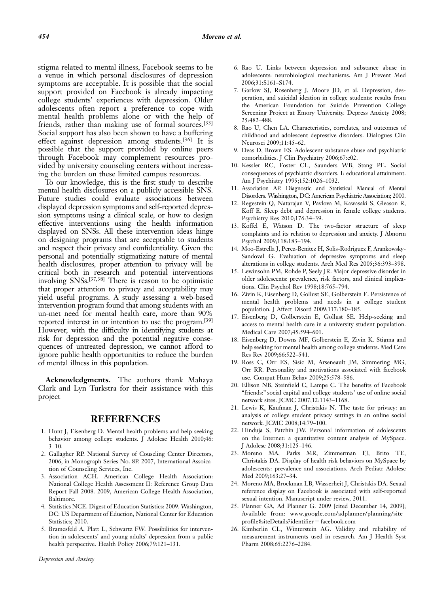stigma related to mental illness, Facebook seems to be a venue in which personal disclosures of depression symptoms are acceptable. It is possible that the social support provided on Facebook is already impacting college students' experiences with depression. Older adolescents often report a preference to cope with mental health problems alone or with the help of friends, rather than making use of formal sources.[33] Social support has also been shown to have a buffering effect against depression among students.[36] It is possible that the support provided by online peers through Facebook may complement resources provided by university counseling centers without increasing the burden on these limited campus resources.

To our knowledge, this is the first study to describe mental health disclosures on a publicly accessible SNS. Future studies could evaluate associations between displayed depression symptoms and self-reported depression symptoms using a clinical scale, or how to design effective interventions using the health information displayed on SNSs. All these intervention ideas hinge on designing programs that are acceptable to students and respect their privacy and confidentiality. Given the personal and potentially stigmatizing nature of mental health disclosures, proper attention to privacy will be critical both in research and potential interventions involving SNSs.[37,38] There is reason to be optimistic that proper attention to privacy and acceptability may yield useful programs. A study assessing a web-based intervention program found that among students with an un-met need for mental health care, more than 90% reported interest in or intention to use the program.[39] However, with the difficulty in identifying students at risk for depression and the potential negative consequences of untreated depression, we cannot afford to ignore public health opportunities to reduce the burden of mental illness in this population.

Acknowledgments. The authors thank Mahaya Clark and Lyn Turkstra for their assistance with this project

# REFERENCES

- 1. Hunt J, Eisenberg D. Mental health problems and help-seeking behavior among college students. J Adolesc Health 2010;46:  $3 - 10$ .
- 2. Gallagher RP. National Survey of Couseling Center Directors, 2006, in Monograph Series No. 8P. 2007, International Assoication of Counseling Services, Inc.
- 3. Association ACH. American College Health Association: National College Health Assessment II: Reference Group Data Report Fall 2008. 2009, American College Health Association, Baltimore.
- 4. Statistics NCE. Digest of Education Statistics: 2009. Washington, DC: US Department of Eduction, National Center for Education Statistics; 2010.
- 5. Bramesfeld A, Platt L, Schwartz FW. Possibilities for intervention in adolescents' and young adults' depression from a public health perspective. Health Policy 2006;79:121–131.
- 6. Rao U. Links between depression and substance abuse in adolescents: neurobiological mechanisms. Am J Prevent Med 2006;31:S161–S174.
- 7. Garlow SJ, Rosenberg J, Moore JD, et al. Depression, desperation, and suicidal ideation in college students: results from the American Foundation for Suicide Prevention College Screening Project at Emory University. Depress Anxiety 2008; 25:482–488.
- 8. Rao U, Chen LA. Characteristics, correlates, and outcomes of childhood and adolescent depressive disorders. Dialogues Clin Neurosci 2009;11:45–62.
- 9. Deas D, Brown ES. Adolescent substance abuse and psychiatric comorbidities. J Clin Psychiatry 2006;67:e02.
- 10. Kessler RC, Foster CL, Saunders WB, Stang PE. Social consequences of psychiatric disorders. I: educational attainment. Am J Psychiatry 1995;152:1026–1032.
- 11. Association AP. Diagnostic and Statistical Manual of Mental Disorders. Washington, DC: American Psychiatric Association; 2000.
- 12. Regestein Q, Natarajan V, Pavlova M, Kawasaki S, Gleason R, Koff E. Sleep debt and depression in female college students. Psychiatry Res 2010;176:34–39.
- 13. Koffel E, Watson D. The two-factor structure of sleep complaints and its relation to depression and anxiety. J Abnorm Psychol 2009;118:183–194.
- 14. Moo-Estrella J, Perez-Benitez H, Solis-Rodriguez F, Arankowsky-Sandoval G. Evaluation of depressive symptoms and sleep alterations in college students. Arch Med Res 2005;36:393–398.
- 15. Lewinsohn PM, Rohde P, Seely JR. Major depressive disorder in older adolescents: prevalence, risk factors, and clinical implications. Clin Psychol Rev 1998;18:765–794.
- 16. Zivin K, Eisenberg D, Gollust SE, Golberstein E. Persistence of mental health problems and needs in a college student population. J Affect Disord 2009;117:180–185.
- 17. Eisenberg D, Golberstein E, Gollust SE. Help-seeking and access to mental health care in a university student population. Medical Care 2007;45:594–601.
- 18. Eisenberg D, Downs MF, Golberstein E, Zivin K. Stigma and help seeking for mental health among college students. Med Care Res Rev 2009;66:522–541.
- 19. Ross C, Orr ES, Sisic M, Arseneault JM, Simmering MG, Orr RR. Personality and motivations associated with facebook use. Comput Hum Behav 2009;25:578–586.
- 20. Ellison NB, Steinfield C, Lampe C. The benefits of Facebook "friends:" social capital and college students' use of online social network sites. JCMC 2007;12:1143–1168.
- 21. Lewis K, Kaufman J, Christakis N. The taste for privacy: an analysis of college student privacy settings in an online social network. JCMC 2008;14:79–100.
- 22. Hinduja S, Patchin JW. Personal information of adolescents on the Internet: a quantitative content analysis of MySpace. J Adolesc 2008;31:125–146.
- 23. Moreno MA, Parks MR, Zimmerman FJ, Brito TE, Christakis DA. Display of health risk behaviors on MySpace by adolescents: prevalence and associations. Arch Pediatr Adolesc Med 2009;163:27–34.
- 24. Moreno MA, Brockman LB, Wasserheit J, Christakis DA. Sexual reference display on Facebook is associated with self-reported sexual intention. Manuscript under review, 2011.
- 25. Planner GA, Ad Planner G. 2009 [cited December 14, 2009]; Available from: www.google.com/adplanner/planning/site\_ profile#siteDetails?identifier = facebook.com
- 26. Kimberlin CL, Winterstein AG. Validity and reliability of measurement instruments used in research. Am J Health Syst Pharm 2008;65:2276–2284.